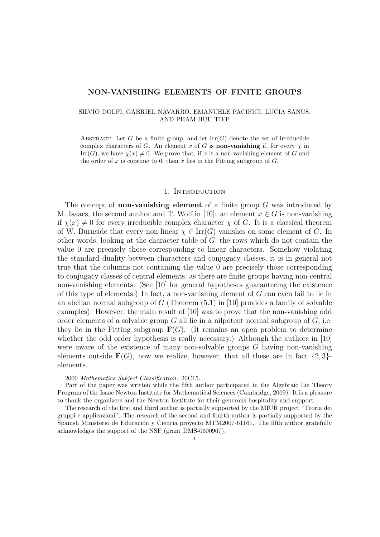### NON-VANISHING ELEMENTS OF FINITE GROUPS

# SILVIO DOLFI, GABRIEL NAVARRO, EMANUELE PACIFICI, LUCIA SANUS, AND PHAM HUU TIEP

ABSTRACT. Let G be a finite group, and let  $\mathrm{Irr}(G)$  denote the set of irreducible complex characters of G. An element x of G is **non-vanishing** if, for every  $\chi$  in  $\text{Irr}(G)$ , we have  $\chi(x) \neq 0$ . We prove that, if x is a non-vanishing element of G and the order of x is coprime to 6, then x lies in the Fitting subgroup of  $G$ .

# 1. INTRODUCTION

The concept of **non-vanishing element** of a finite group  $G$  was introduced by M. Isaacs, the second author and T. Wolf in [10]: an element  $x \in G$  is non-vanishing if  $\chi(x) \neq 0$  for every irreducible complex character  $\chi$  of G. It is a classical theorem of W. Burnside that every non-linear  $\chi \in \text{Irr}(G)$  vanishes on some element of G. In other words, looking at the character table of G, the rows which do not contain the value 0 are precisely those corresponding to linear characters. Somehow violating the standard duality between characters and conjugacy classes, it is in general not true that the columns not containing the value 0 are precisely those corresponding to conjugacy classes of central elements, as there are finite groups having non-central non-vanishing elements. (See [10] for general hypotheses guaranteeing the existence of this type of elements.) In fact, a non-vanishing element of G can even fail to lie in an abelian normal subgroup of  $G$  (Theorem  $(5.1)$  in [10] provides a family of solvable examples). However, the main result of [10] was to prove that the non-vanishing odd order elements of a solvable group  $G$  all lie in a nilpotent normal subgroup of  $G$ , i.e. they lie in the Fitting subgroup  $\mathbf{F}(G)$ . (It remains an open problem to determine whether the odd order hypothesis is really necessary.) Although the authors in [10] were aware of the existence of many non-solvable groups  $G$  having non-vanishing elements outside  $\mathbf{F}(G)$ , now we realize, however, that all these are in fact  $\{2,3\}$ elements.

<sup>2000</sup> Mathematics Subject Classification. 20C15.

Part of the paper was written while the fifth author participated in the Algebraic Lie Theory Program of the Isaac Newton Institute for Mathematical Sciences (Cambridge, 2009). It is a pleasure to thank the organizers and the Newton Institute for their generous hospitality and support.

The research of the first and third author is partially supported by the MIUR project "Teoria dei gruppi e applicazioni". The research of the second and fourth author is partially supported by the Spanish Ministerio de Educación y Ciencia proyecto MTM2007-61161. The fifth author gratefully acknowledges the support of the NSF (grant DMS-0600967).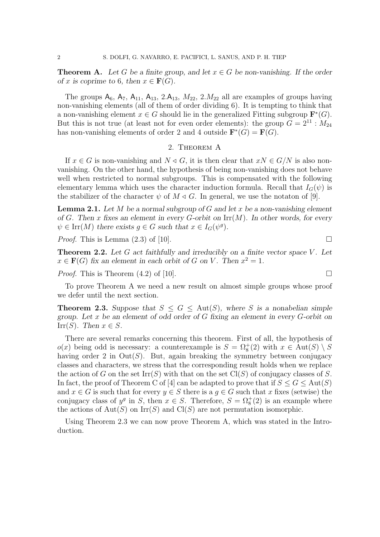**Theorem A.** Let G be a finite group, and let  $x \in G$  be non-vanishing. If the order of x is coprime to 6, then  $x \in \mathbf{F}(G)$ .

The groups  $A_6$ ,  $A_7$ ,  $A_{11}$ ,  $A_{13}$ ,  $2.A_{13}$ ,  $M_{22}$ ,  $2.M_{22}$  all are examples of groups having non-vanishing elements (all of them of order dividing 6). It is tempting to think that a non-vanishing element  $x \in G$  should lie in the generalized Fitting subgroup  $\mathbf{F}^*(G)$ . But this is not true (at least not for even order elements): the group  $\tilde{G} = 2^{11}$ :  $M_{24}$ has non-vanishing elements of order 2 and 4 outside  $\mathbf{F}^*(G) = \mathbf{F}(G)$ .

# 2. Theorem A

If  $x \in G$  is non-vanishing and  $N \triangleleft G$ , it is then clear that  $xN \in G/N$  is also nonvanishing. On the other hand, the hypothesis of being non-vanishing does not behave well when restricted to normal subgroups. This is compensated with the following elementary lemma which uses the character induction formula. Recall that  $I_G(\psi)$  is the stabilizer of the character  $\psi$  of  $M \triangleleft G$ . In general, we use the notaton of [9].

**Lemma 2.1.** Let M be a normal subgroup of G and let x be a non-vanishing element of G. Then x fixes an element in every G-orbit on  $\mathrm{Irr}(M)$ . In other words, for every  $\psi \in \text{Irr}(M)$  there exists  $g \in G$  such that  $x \in I_G(\psi^g)$ .

*Proof.* This is Lemma  $(2.3)$  of [10].

**Theorem 2.2.** Let  $G$  act faithfully and irreducibly on a finite vector space  $V$ . Let  $x \in \mathbf{F}(G)$  fix an element in each orbit of G on V. Then  $x^2 = 1$ .

*Proof.* This is Theorem  $(4.2)$  of [10].

To prove Theorem A we need a new result on almost simple groups whose proof we defer until the next section.

**Theorem 2.3.** Suppose that  $S \leq G \leq \text{Aut}(S)$ , where S is a nonabelian simple group. Let x be an element of odd order of  $G$  fixing an element in every  $G$ -orbit on Irr(S). Then  $x \in S$ .

There are several remarks concerning this theorem. First of all, the hypothesis of  $o(x)$  being odd is necessary: a counterexample is  $S = \Omega_8^+(2)$  with  $x \in \text{Aut}(S) \setminus S$ having order 2 in  $Out(S)$ . But, again breaking the symmetry between conjugacy classes and characters, we stress that the corresponding result holds when we replace the action of G on the set  $\text{Irr}(S)$  with that on the set  $\text{Cl}(S)$  of conjugacy classes of S. In fact, the proof of Theorem C of [4] can be adapted to prove that if  $S \leq G \leq \text{Aut}(S)$ and  $x \in G$  is such that for every  $y \in S$  there is a  $g \in G$  such that x fixes (setwise) the conjugacy class of  $y^g$  in S, then  $x \in S$ . Therefore,  $S = \Omega_8^+(2)$  is an example where the actions of  $Aut(S)$  on  $Irr(S)$  and  $Cl(S)$  are not permutation isomorphic.

Using Theorem 2.3 we can now prove Theorem A, which was stated in the Introduction.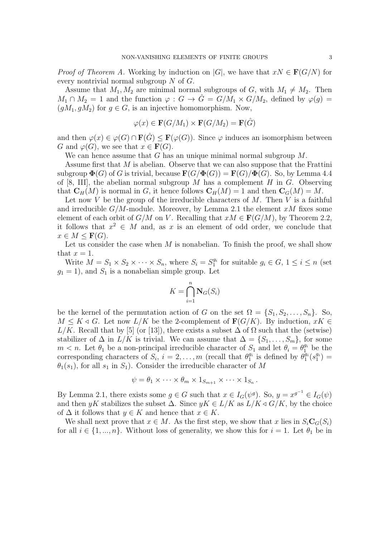*Proof of Theorem A.* Working by induction on |G|, we have that  $xN \in \mathbf{F}(G/N)$  for every nontrivial normal subgroup N of G.

Assume that  $M_1, M_2$  are minimal normal subgroups of G, with  $M_1 \neq M_2$ . Then  $M_1 \cap M_2 = 1$  and the function  $\varphi : G \to \hat{G} = G/M_1 \times G/M_2$ , defined by  $\varphi(g) =$  $(qM_1, qM_2)$  for  $q \in G$ , is an injective homomorphism. Now,

$$
\varphi(x) \in \mathbf{F}(G/M_1) \times \mathbf{F}(G/M_2) = \mathbf{F}(\hat{G})
$$

and then  $\varphi(x) \in \varphi(G) \cap \mathbf{F}(\hat{G}) \leq \mathbf{F}(\varphi(G))$ . Since  $\varphi$  induces an isomorphism between G and  $\varphi(G)$ , we see that  $x \in \mathbf{F}(G)$ .

We can hence assume that  $G$  has an unique minimal normal subgroup  $M$ .

Assume first that M is abelian. Observe that we can also suppose that the Frattini subgroup  $\Phi(G)$  of G is trivial, because  $\mathbf{F}(G/\Phi(G)) = \mathbf{F}(G)/\Phi(G)$ . So, by Lemma 4.4 of [8, III], the abelian normal subgroup M has a complement H in G. Observing that  $\mathbf{C}_H(M)$  is normal in G, it hence follows  $\mathbf{C}_H(M) = 1$  and then  $\mathbf{C}_G(M) = M$ .

Let now V be the group of the irreducible characters of M. Then V is a faithful and irreducible  $G/M$ -module. Moreover, by Lemma 2.1 the element  $xM$  fixes some element of each orbit of  $G/M$  on V. Recalling that  $xM \in \mathbf{F}(G/M)$ , by Theorem 2.2, it follows that  $x^2 \in M$  and, as x is an element of odd order, we conclude that  $x \in M \leq \mathbf{F}(G)$ .

Let us consider the case when  $M$  is nonabelian. To finish the proof, we shall show that  $x = 1$ .

Write  $M = S_1 \times S_2 \times \cdots \times S_n$ , where  $S_i = S_1^{g_i}$  for suitable  $g_i \in G$ ,  $1 \leq i \leq n$  (set  $g_1 = 1$ , and  $S_1$  is a nonabelian simple group. Let

$$
K = \bigcap_{i=1}^{n} \mathbf{N}_{G}(S_{i})
$$

be the kernel of the permutation action of G on the set  $\Omega = \{S_1, S_2, \ldots, S_n\}$ . So,  $M \leq K \triangleleft G$ . Let now  $L/K$  be the 2-complement of  $\mathbf{F}(G/K)$ . By induction,  $xK \in$  $L/K$ . Recall that by [5] (or [13]), there exists a subset  $\Delta$  of  $\Omega$  such that the (setwise) stabilizer of  $\Delta$  in  $L/K$  is trivial. We can assume that  $\Delta = \{S_1, \ldots, S_m\}$ , for some  $m < n$ . Let  $\theta_1$  be a non-principal irreducible character of  $S_1$  and let  $\theta_i = \theta_1^{g_i}$  be the corresponding characters of  $S_i$ ,  $i = 2, ..., m$  (recall that  $\theta_1^{g_i}$  is defined by  $\theta_1^{g_i}(s_1^{g_i}) =$  $\theta_1(s_1)$ , for all  $s_1$  in  $S_1$ ). Consider the irreducible character of M

$$
\psi = \theta_1 \times \cdots \times \theta_m \times 1_{S_{m+1}} \times \cdots \times 1_{S_n}.
$$

By Lemma 2.1, there exists some  $g \in G$  such that  $x \in I_G(\psi^g)$ . So,  $y = x^{g^{-1}} \in I_G(\psi)$ and then yK stabilizes the subset  $\Delta$ . Since  $yK \in L/K$  as  $L/K \triangleleft G/K$ , by the choice of  $\Delta$  it follows that  $y \in K$  and hence that  $x \in K$ .

We shall next prove that  $x \in M$ . As the first step, we show that x lies in  $S_i \mathbf{C}_G(S_i)$ for all  $i \in \{1, ..., n\}$ . Without loss of generality, we show this for  $i = 1$ . Let  $\theta_1$  be in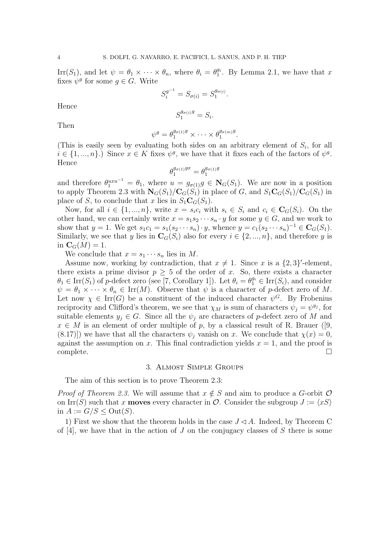Irr(S<sub>1</sub>), and let  $\psi = \theta_1 \times \cdots \times \theta_n$ , where  $\theta_i = \theta_1^{g_i}$ . By Lemma 2.1, we have that x fixes  $\psi^g$  for some  $g \in G$ . Write

$$
S_i^{g^{-1}} = S_{\sigma(i)} = S_1^{g_{\sigma(i)}}
$$

.

.

Hence

$$
S_1^{g_{\sigma(i)}g} = S_i.
$$

Then

$$
\psi^g = \theta_1^{g_{\sigma(1)}g} \times \cdots \times \theta_1^{g_{\sigma(m)}g}
$$

(This is easily seen by evaluating both sides on an arbitrary element of  $S_i$ , for all  $i \in \{1, ..., n\}$ .) Since  $x \in K$  fixes  $\psi^g$ , we have that it fixes each of the factors of  $\psi^g$ . Hence

$$
\theta_1^{g_{\sigma(1)}gx} = \theta_1^{g_{\sigma(1)}g}
$$

and therefore  $\theta_1^{uxu^{-1}} = \theta_1$ , where  $u = g_{\sigma(1)}g \in N_G(S_1)$ . We are now in a position to apply Theorem 2.3 with  $N_G(S_1)/C_G(S_1)$  in place of G, and  $S_1C_G(S_1)/C_G(S_1)$  in place of S, to conclude that x lies in  $S_1\mathbf{C}_G(S_1)$ .

Now, for all  $i \in \{1, ..., n\}$ , write  $x = s_i c_i$  with  $s_i \in S_i$  and  $c_i \in \mathbf{C}_G(S_i)$ . On the other hand, we can certainly write  $x = s_1 s_2 \cdots s_n \cdot y$  for some  $y \in G$ , and we work to show that  $y = 1$ . We get  $s_1 c_1 = s_1(s_2 \cdots s_n) \cdot y$ , whence  $y = c_1(s_2 \cdots s_n)^{-1} \in \mathbf{C}_G(S_1)$ . Similarly, we see that y lies in  $\mathbf{C}_G(S_i)$  also for every  $i \in \{2, ..., n\}$ , and therefore y is in  $\mathbf{C}_G(M) = 1$ .

We conclude that  $x = s_1 \cdots s_n$  lies in M.

Assume now, working by contradiction, that  $x \neq 1$ . Since x is a  $\{2,3\}'$ -element, there exists a prime divisor  $p \geq 5$  of the order of x. So, there exists a character  $\theta_1 \in \text{Irr}(S_1)$  of p-defect zero (see [7, Corollary 1]). Let  $\theta_i = \theta_1^{g_i} \in \text{Irr}(S_i)$ , and consider  $\psi = \theta_1 \times \cdots \times \theta_n \in \text{Irr}(M)$ . Observe that  $\psi$  is a character of p-defect zero of M. Let now  $\chi \in \text{Irr}(G)$  be a constituent of the induced character  $\psi^G$ . By Frobenius reciprocity and Clifford's theorem, we see that  $\chi_M$  is sum of characters  $\psi_j = \psi^{y_j}$ , for suitable elements  $y_j \in G$ . Since all the  $\psi_j$  are characters of p-defect zero of M and  $x \in M$  is an element of order multiple of p, by a classical result of R. Brauer ([9,  $(8.17)$ ) we have that all the characters  $\psi_i$  vanish on x. We conclude that  $\chi(x) = 0$ , against the assumption on x. This final contradiction yields  $x = 1$ , and the proof is complete.

## 3. Almost Simple Groups

The aim of this section is to prove Theorem 2.3:

*Proof of Theorem 2.3.* We will assume that  $x \notin S$  and aim to produce a G-orbit  $\mathcal O$ on Irr(S) such that x **moves** every character in  $\mathcal{O}$ . Consider the subgroup  $J := \langle xS \rangle$ in  $A := G/S \leq Out(S)$ .

1) First we show that the theorem holds in the case  $J \triangleleft A$ . Indeed, by Theorem C of [4], we have that in the action of J on the conjugacy classes of S there is some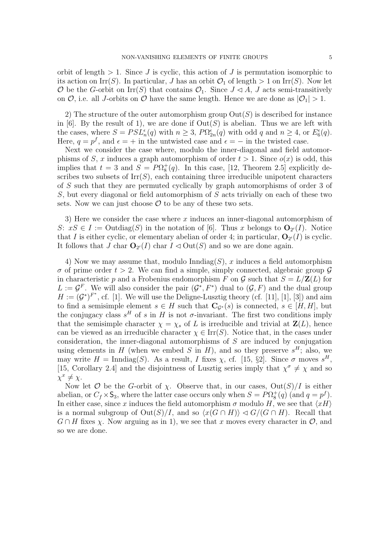orbit of length  $> 1$ . Since J is cyclic, this action of J is permutation isomorphic to its action on Irr(S). In particular, J has an orbit  $\mathcal{O}_1$  of length  $> 1$  on Irr(S). Now let  $\mathcal O$  be the G-orbit on Irr(S) that contains  $\mathcal O_1$ . Since  $J \triangleleft A$ , J acts semi-transitively on  $\mathcal{O}$ , i.e. all *J*-orbits on  $\mathcal{O}$  have the same length. Hence we are done as  $|\mathcal{O}_1| > 1$ .

2) The structure of the outer automorphism group  $Out(S)$  is described for instance in [6]. By the result of 1), we are done if  $Out(S)$  is abelian. Thus we are left with the cases, where  $S = PSL_n^{\epsilon}(q)$  with  $n \geq 3$ ,  $P\Omega_{2n}^{\epsilon}(q)$  with odd q and  $n \geq 4$ , or  $E_6^{\epsilon}(q)$ . Here,  $q = p^f$ , and  $\epsilon = +$  in the untwisted case and  $\epsilon = -$  in the twisted case.

Next we consider the case where, modulo the inner-diagonal and field automorphisms of S, x induces a graph automorphism of order  $t > 1$ . Since  $o(x)$  is odd, this implies that  $t = 3$  and  $S = P\Omega_8^+(q)$ . In this case, [12, Theorem 2.5] explicitly describes two subsets of  $\text{Irr}(S)$ , each containing three irreducible unipotent characters of S such that they are permuted cyclically by graph automorphisms of order 3 of S, but every diagonal or field automorphism of S acts trivially on each of these two sets. Now we can just choose  $\mathcal O$  to be any of these two sets.

3) Here we consider the case where  $x$  induces an inner-diagonal automorphism of S:  $xS \in I := \text{Outdiag}(S)$  in the notation of [6]. Thus x belongs to  $\mathbf{O}_{2'}(I)$ . Notice that I is either cyclic, or elementary abelian of order 4; in particular,  $\mathbf{O}_{2'}(I)$  is cyclic. It follows that  $J$  char  $\mathbf{O}_{2'}(I)$  char  $I \triangleleft \text{Out}(S)$  and so we are done again.

4) Now we may assume that, modulo  $\text{Inndiag}(S)$ , x induces a field automorphism  $\sigma$  of prime order  $t > 2$ . We can find a simple, simply connected, algebraic group  $\mathcal G$ in characteristic p and a Frobenius endomorphism F on G such that  $S = L/\mathbf{Z}(L)$  for  $L := \mathcal{G}^F$ . We will also consider the pair  $(\mathcal{G}^*, F^*)$  dual to  $(\mathcal{G}, F)$  and the dual group  $H := (\mathcal{G}^*)^{F^*}$ , cf. [1]. We will use the Deligne-Lusztig theory (cf. [11], [1], [3]) and aim to find a semisimple element  $s \in H$  such that  $\mathbf{C}_{\mathcal{G}^*}(s)$  is connected,  $s \in [H, H]$ , but the conjugacy class  $s<sup>H</sup>$  of s in H is not  $\sigma$ -invariant. The first two conditions imply that the semisimple character  $\chi = \chi_s$  of L is irreducible and trivial at  $\mathbf{Z}(L)$ , hence can be viewed as an irreducible character  $\chi \in \text{Irr}(S)$ . Notice that, in the cases under consideration, the inner-diagonal automorphisms of  $S$  are induced by conjugation using elements in H (when we embed S in H), and so they preserve  $s<sup>H</sup>$ ; also, we may write  $H = \text{Inndiag}(S)$ . As a result, I fixes  $\chi$ , cf. [15, §2]. Since  $\sigma$  moves  $s^H$ , [15, Corollary 2.4] and the disjointness of Lusztig series imply that  $\chi^{\sigma} \neq \chi$  and so  $\chi^x \neq \chi$ .

Now let  $\mathcal O$  be the G-orbit of  $\chi$ . Observe that, in our cases,  $Out(S)/I$  is either abelian, or  $C_f \times S_3$ , where the latter case occurs only when  $S = P\Omega_8^+(q)$  (and  $q = p^f$ ). In either case, since x induces the field automorphism  $\sigma$  modulo H, we see that  $\langle xH \rangle$ is a normal subgroup of  $\text{Out}(S)/I$ , and so  $\langle x(G \cap H) \rangle \langle G/G \cap H \rangle$ . Recall that  $G \cap H$  fixes  $\chi$ . Now arguing as in 1), we see that x moves every character in  $\mathcal{O}$ , and so we are done.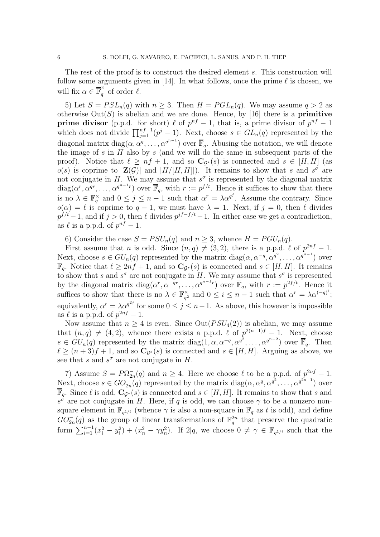The rest of the proof is to construct the desired element s. This construction will follow some arguments given in [14]. In what follows, once the prime  $\ell$  is chosen, we will fix  $\alpha \in \overline{\mathbb{F}}_q^{\times}$  $q$  of order  $\ell$ .

5) Let  $S = PSL_n(q)$  with  $n \geq 3$ . Then  $H = PGL_n(q)$ . We may assume  $q > 2$  as otherwise  $Out(S)$  is abelian and we are done. Hence, by [16] there is a **primitive prime divisor** (p.p.d. for short)  $\ell$  of  $p^{nf} - 1$ , that is, a prime divisor of  $p^{nf} - 1$ which does not divide  $\prod_{j=1}^{nf-1}(p^j-1)$ . Next, choose  $s \in GL_n(q)$  represented by the diagonal matrix diag $(\alpha, \alpha^q, \ldots, \alpha^{q^{n-1}})$  over  $\overline{\mathbb{F}}_q$ . Abusing the notation, we will denote the image of s in  $H$  also by s (and we will do the same in subsequent parts of the proof). Notice that  $\ell \geq nf + 1$ , and so  $C_{\mathcal{G}^*}(s)$  is connected and  $s \in [H, H]$  (as  $o(s)$  is coprime to  $|\mathbf{Z}(\mathcal{G})|$  and  $|H/[H, H]|$ . It remains to show that s and  $s^{\sigma}$  are not conjugate in H. We may assume that  $s^{\sigma}$  is represented by the diagonal matrix  $diag(\alpha^r, \alpha^{qr}, \ldots, \alpha^{q^{n-1}r})$  over  $\overline{\mathbb{F}}_q$ , with  $r := p^{f/t}$ . Hence it suffices to show that there is no  $\lambda \in \mathbb{F}_q^{\times}$  and  $0 \leq j \leq n-1$  such that  $\alpha^r = \lambda \alpha^{q^j}$ . Assume the contrary. Since  $o(\alpha) = \ell$  is coprime to  $q - 1$ , we must have  $\lambda = 1$ . Next, if  $j = 0$ , then  $\ell$  divides  $p^{f/t}-1$ , and if  $j>0$ , then  $\ell$  divides  $p^{jf-f/t}-1$ . In either case we get a contradiction, as  $\ell$  is a p.p.d. of  $p^{nf} - 1$ .

6) Consider the case  $S = PSU_n(q)$  and  $n \geq 3$ , whence  $H = PGU_n(q)$ .

First assume that *n* is odd. Since  $(n, q) \neq (3, 2)$ , there is a p.p.d.  $\ell$  of  $p^{2nf} - 1$ . Next, choose  $s \in GU_n(q)$  represented by the matrix  $diag(\alpha, \alpha^{-q}, \alpha^{q^2}, \dots, \alpha^{q^{n-1}})$  over  $\overline{\mathbb{F}}_q$ . Notice that  $\ell \geq 2nf + 1$ , and so  $\mathbb{C}_{\mathcal{G}^*}(s)$  is connected and  $s \in [H, H]$ . It remains to show that s and  $s^{\sigma}$  are not conjugate in H. We may assume that  $s^{\sigma}$  is represented by the diagonal matrix  $diag(\alpha^r, \alpha^{-qr}, \ldots, \alpha^{q^{n-1}r})$  over  $\overline{\mathbb{F}}_q$ , with  $r := p^{2f/t}$ . Hence it suffices to show that there is no  $\lambda \in \mathbb{F}_{q^2}^{\times}$  $\frac{\alpha}{q^2}$  and  $0 \leq i \leq n-1$  such that  $\alpha^r = \lambda \alpha^{(-q)^i}$ ; equivalently,  $\alpha^r = \lambda \alpha^{q^{2j}}$  for some  $0 \le j \le n-1$ . As above, this however is impossible as  $\ell$  is a p.p.d. of  $p^{2nf} - 1$ .

Now assume that  $n \geq 4$  is even. Since  $Out(PSU_4(2))$  is abelian, we may assume that  $(n, q) \neq (4, 2)$ , whence there exists a p.p.d.  $\ell$  of  $p^{2(n-1)f} - 1$ . Next, choose  $s \in GU_n(q)$  represented by the matrix diag $(1, \alpha, \alpha^{-q}, \alpha^{q^2}, \dots, \alpha^{q^{n-2}})$  over  $\overline{\mathbb{F}}_q$ . Then  $\ell \geq (n+3)f + 1$ , and so  $\mathbb{C}_{G^*}(s)$  is connected and  $s \in [H, H]$ . Arguing as above, we see that s and  $s^{\sigma}$  are not conjugate in H.

7) Assume  $S = P\Omega_{2n}^-(q)$  and  $n \geq 4$ . Here we choose  $\ell$  to be a p.p.d. of  $p^{2nf} - 1$ . Next, choose  $s \in GO^{-}_{2n}(q)$  represented by the matrix  $diag(\alpha, \alpha^q, \alpha^{q^2}, \dots, \alpha^{q^{2n-1}})$  over  $\mathbb{F}_q$ . Since  $\ell$  is odd,  $\mathbb{C}_{\mathcal{G}^*}(s)$  is connected and  $s \in [H, H]$ . It remains to show that s and  $s^{\sigma}$  are not conjugate in H. Here, if q is odd, we can choose  $\gamma$  to be a nonzero nonsquare element in  $\mathbb{F}_{q^{1/t}}$  (whence  $\gamma$  is also a non-square in  $\mathbb{F}_q$  as t is odd), and define  $GO_{2n}^-(q)$  as the group of linear transformations of  $\mathbb{F}_q^{2n}$  that preserve the quadratic form  $\sum_{i=1}^{n-1} (x_i^2 - y_i^2) + (x_n^2 - \gamma y_n^2)$ . If  $2|q$ , we choose  $0 \neq \gamma \in \mathbb{F}_{q^{1/t}}$  such that the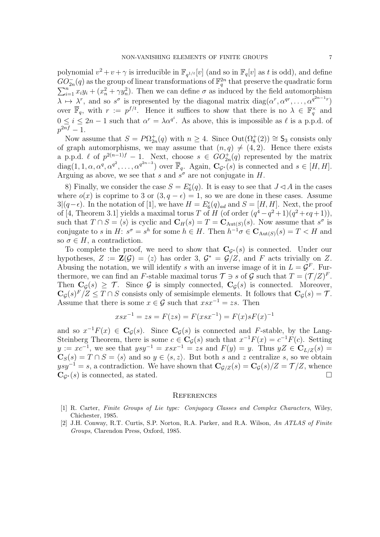polynomial  $v^2 + v + \gamma$  is irreducible in  $\mathbb{F}_{q^{1/t}}[v]$  (and so in  $\mathbb{F}_q[v]$  as t is odd), and define  $GO_{2n}^-(q)$  as the group of linear transformations of  $\mathbb{F}_q^{2n}$  that preserve the quadratic form  $\sum_{i=1}^{n} x_i y_i + (x_n^2 + \gamma y_n^2)$ . Then we can define  $\sigma$  as induced by the field automorphism  $\lambda \mapsto \lambda^r$ , and so  $s^{\sigma}$  is represented by the diagonal matrix  $diag(\alpha^r, \alpha^{qr}, \dots, \alpha^{q^{2n-1}r})$ over  $\overline{\mathbb{F}}_q$ , with  $r := p^{f/t}$ . Hence it suffices to show that there is no  $\lambda \in \mathbb{F}_q^{\times}$  and  $0 \leq i \leq 2n-1$  such that  $\alpha^r = \lambda \alpha^{q^i}$ . As above, this is impossible as  $\ell$  is a p.p.d. of  $p^{2nf}-1.$ 

Now assume that  $S = P\Omega_{2n}^+(q)$  with  $n \geq 4$ . Since  $Out(\Omega_8^+(2)) \cong S_3$  consists only of graph automorphisms, we may assume that  $(n, q) \neq (4, 2)$ . Hence there exists a p.p.d.  $\ell$  of  $p^{2(n-1)f} - 1$ . Next, choose  $s \in GO_{2n}^+(q)$  represented by the matrix  $diag(1, 1, \alpha, \alpha^q, \alpha^{q^2}, \dots, \alpha^{q^{2n-3}})$  over  $\overline{\mathbb{F}}_q$ . Again,  $\mathbf{C}_{\mathcal{G}^*}(s)$  is connected and  $s \in [H, H]$ . Arguing as above, we see that s and  $s^{\sigma}$  are not conjugate in H.

8) Finally, we consider the case  $S = E_6^{\epsilon}(q)$ . It is easy to see that  $J \lhd A$  in the cases where  $o(x)$  is coprime to 3 or  $(3, q - \epsilon) = 1$ , so we are done in these cases. Assume 3 $|(q-\epsilon)$ . In the notation of [1], we have  $H = E_6^{\epsilon}(q)_{ad}$  and  $S = [H, H]$ . Next, the proof of [4, Theorem 3.1] yields a maximal torus T of H (of order  $(q^4 - q^2 + 1)(q^2 + \epsilon q + 1)$ ), such that  $T \cap S = \langle s \rangle$  is cyclic and  $\mathbf{C}_H(s) = T = \mathbf{C}_{\text{Aut}(S)}(s)$ . Now assume that  $s^{\sigma}$  is conjugate to s in H:  $s^{\sigma} = s^h$  for some  $h \in H$ . Then  $h^{-1}\sigma \in \mathbf{C}_{\text{Aut}(S)}(s) = T < H$  and so  $\sigma \in H$ , a contradiction.

To complete the proof, we need to show that  $C_{\mathcal{G}^*}(s)$  is connected. Under our hypotheses,  $Z := \mathbf{Z}(\mathcal{G}) = \langle z \rangle$  has order 3,  $\mathcal{G}^* = \mathcal{G}/Z$ , and F acts trivially on Z. Abusing the notation, we will identify s with an inverse image of it in  $L = \mathcal{G}^F$ . Furthermore, we can find an F-stable maximal torus  $\mathcal{T} \ni s$  of  $\mathcal{G}$  such that  $T = (\mathcal{T}/Z)^F$ . Then  $C_G(s) \geq \mathcal{T}$ . Since  $\mathcal{G}$  is simply connected,  $C_G(s)$  is connected. Moreover,  $\mathbf{C}_{\mathcal{G}}(s)^F/Z \leq T \cap S$  consists only of semisimple elements. It follows that  $\mathbf{C}_{\mathcal{G}}(s) = \mathcal{T}$ . Assume that there is some  $x \in \mathcal{G}$  such that  $xsx^{-1} = zs$ . Then

$$
xsx^{-1} = zs = F(zs) = F(xsx^{-1}) = F(x)sF(x)^{-1}
$$

and so  $x^{-1}F(x) \in \mathbf{C}_{\mathcal{G}}(s)$ . Since  $\mathbf{C}_{\mathcal{G}}(s)$  is connected and F-stable, by the Lang-Steinberg Theorem, there is some  $c \in \mathbf{C}_{\mathcal{G}}(s)$  such that  $x^{-1}F(x) = c^{-1}F(c)$ . Setting  $y := xc^{-1}$ , we see that  $ysy^{-1} = xsx^{-1} = zs$  and  $F(y) = y$ . Thus  $yZ \in C_{L/Z}(s)$  $\mathbf{C}_{S}(s) = T \cap S = \langle s \rangle$  and so  $y \in \langle s, z \rangle$ . But both s and z centralize s, so we obtain  $ysy^{-1} = s$ , a contradiction. We have shown that  $C_{\mathcal{G}/\mathcal{Z}}(s) = C_{\mathcal{G}}(s)/\mathcal{Z} = \mathcal{T}/\mathcal{Z}$ , whence  $\mathbf{C}_{\mathcal{G}^*}(s)$  is connected, as stated.

#### **REFERENCES**

- [1] R. Carter, Finite Groups of Lie type: Conjugacy Classes and Complex Characters, Wiley, Chichester, 1985.
- [2] J.H. Conway, R.T. Curtis, S.P. Norton, R.A. Parker, and R.A. Wilson, An ATLAS of Finite Groups, Clarendon Press, Oxford, 1985.